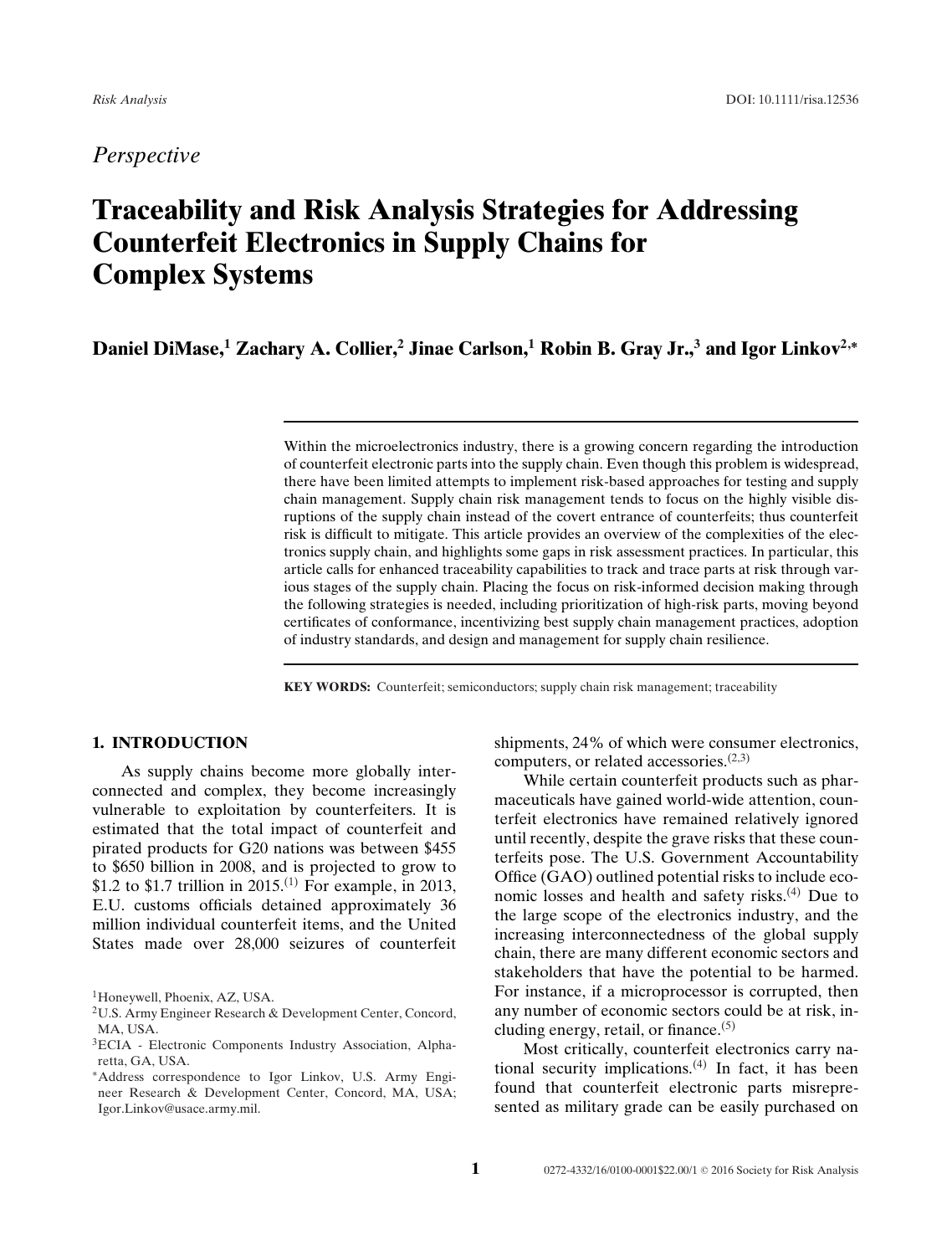## *Perspective*

# **Traceability and Risk Analysis Strategies for Addressing Counterfeit Electronics in Supply Chains for Complex Systems**

**Daniel DiMase,<sup>1</sup> <b>Zachary A. Collier,**<sup>2</sup> **Jinae Carlson,<sup>1</sup> Robin B. Gray Jr.**,<sup>3</sup> **and Igor Linkov**<sup>2,∗</sup>

Within the microelectronics industry, there is a growing concern regarding the introduction of counterfeit electronic parts into the supply chain. Even though this problem is widespread, there have been limited attempts to implement risk-based approaches for testing and supply chain management. Supply chain risk management tends to focus on the highly visible disruptions of the supply chain instead of the covert entrance of counterfeits; thus counterfeit risk is difficult to mitigate. This article provides an overview of the complexities of the electronics supply chain, and highlights some gaps in risk assessment practices. In particular, this article calls for enhanced traceability capabilities to track and trace parts at risk through various stages of the supply chain. Placing the focus on risk-informed decision making through the following strategies is needed, including prioritization of high-risk parts, moving beyond certificates of conformance, incentivizing best supply chain management practices, adoption of industry standards, and design and management for supply chain resilience.

**KEY WORDS:** Counterfeit; semiconductors; supply chain risk management; traceability

## **1. INTRODUCTION**

As supply chains become more globally interconnected and complex, they become increasingly vulnerable to exploitation by counterfeiters. It is estimated that the total impact of counterfeit and pirated products for G20 nations was between \$455 to \$650 billion in 2008, and is projected to grow to \$1.2 to \$1.7 trillion in 2015.<sup>(1)</sup> For example, in 2013, E.U. customs officials detained approximately 36 million individual counterfeit items, and the United States made over 28,000 seizures of counterfeit

2U.S. Army Engineer Research & Development Center, Concord, MA, USA.

shipments, 24% of which were consumer electronics, computers, or related accessories. $(2,3)$ 

While certain counterfeit products such as pharmaceuticals have gained world-wide attention, counterfeit electronics have remained relatively ignored until recently, despite the grave risks that these counterfeits pose. The U.S. Government Accountability Office (GAO) outlined potential risks to include economic losses and health and safety risks.<sup>(4)</sup> Due to the large scope of the electronics industry, and the increasing interconnectedness of the global supply chain, there are many different economic sectors and stakeholders that have the potential to be harmed. For instance, if a microprocessor is corrupted, then any number of economic sectors could be at risk, including energy, retail, or finance. $(5)$ 

Most critically, counterfeit electronics carry national security implications.<sup> $(4)$ </sup> In fact, it has been found that counterfeit electronic parts misrepresented as military grade can be easily purchased on

<sup>&</sup>lt;sup>1</sup>Honeywell, Phoenix, AZ, USA.

<sup>3</sup>ECIA - Electronic Components Industry Association, Alpharetta, GA, USA.

<sup>∗</sup>Address correspondence to Igor Linkov, U.S. Army Engineer Research & Development Center, Concord, MA, USA; Igor.Linkov@usace.army.mil.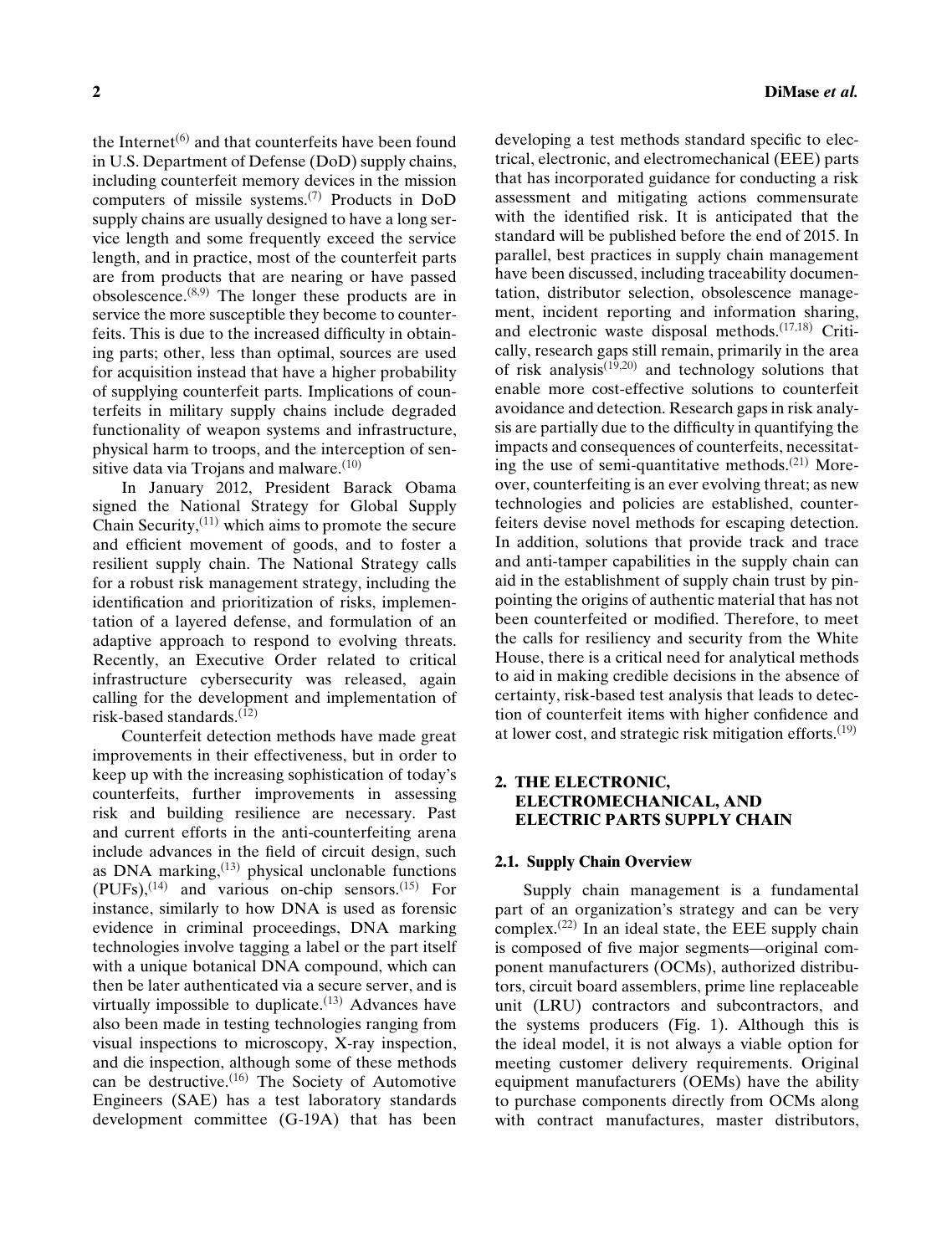the Internet $(6)$  and that counterfeits have been found in U.S. Department of Defense (DoD) supply chains, including counterfeit memory devices in the mission computers of missile systems. $(7)$  Products in DoD supply chains are usually designed to have a long service length and some frequently exceed the service length, and in practice, most of the counterfeit parts are from products that are nearing or have passed obsolescence.(8,9) The longer these products are in service the more susceptible they become to counterfeits. This is due to the increased difficulty in obtaining parts; other, less than optimal, sources are used for acquisition instead that have a higher probability of supplying counterfeit parts. Implications of counterfeits in military supply chains include degraded functionality of weapon systems and infrastructure, physical harm to troops, and the interception of sensitive data via Trojans and malware.<sup>(10)</sup>

In January 2012, President Barack Obama signed the National Strategy for Global Supply Chain Security, $(11)$  which aims to promote the secure and efficient movement of goods, and to foster a resilient supply chain. The National Strategy calls for a robust risk management strategy, including the identification and prioritization of risks, implementation of a layered defense, and formulation of an adaptive approach to respond to evolving threats. Recently, an Executive Order related to critical infrastructure cybersecurity was released, again calling for the development and implementation of risk-based standards. $(12)$ 

Counterfeit detection methods have made great improvements in their effectiveness, but in order to keep up with the increasing sophistication of today's counterfeits, further improvements in assessing risk and building resilience are necessary. Past and current efforts in the anti-counterfeiting arena include advances in the field of circuit design, such as DNA marking, $^{(13)}$  physical unclonable functions  $(PUFs)$ ,<sup> $(14)$ </sup> and various on-chip sensors.<sup> $(15)$ </sup> For instance, similarly to how DNA is used as forensic evidence in criminal proceedings, DNA marking technologies involve tagging a label or the part itself with a unique botanical DNA compound, which can then be later authenticated via a secure server, and is virtually impossible to duplicate. $(13)$  Advances have also been made in testing technologies ranging from visual inspections to microscopy, X-ray inspection, and die inspection, although some of these methods can be destructive.<sup>(16)</sup> The Society of Automotive Engineers (SAE) has a test laboratory standards development committee (G-19A) that has been

developing a test methods standard specific to electrical, electronic, and electromechanical (EEE) parts that has incorporated guidance for conducting a risk assessment and mitigating actions commensurate with the identified risk. It is anticipated that the standard will be published before the end of 2015. In parallel, best practices in supply chain management have been discussed, including traceability documentation, distributor selection, obsolescence management, incident reporting and information sharing, and electronic waste disposal methods.<sup>(17,18)</sup> Critically, research gaps still remain, primarily in the area of risk analysis $(19,20)$  and technology solutions that enable more cost-effective solutions to counterfeit avoidance and detection. Research gaps in risk analysis are partially due to the difficulty in quantifying the impacts and consequences of counterfeits, necessitating the use of semi-quantitative methods. $(21)$  Moreover, counterfeiting is an ever evolving threat; as new technologies and policies are established, counterfeiters devise novel methods for escaping detection. In addition, solutions that provide track and trace and anti-tamper capabilities in the supply chain can aid in the establishment of supply chain trust by pinpointing the origins of authentic material that has not been counterfeited or modified. Therefore, to meet the calls for resiliency and security from the White House, there is a critical need for analytical methods to aid in making credible decisions in the absence of certainty, risk-based test analysis that leads to detection of counterfeit items with higher confidence and at lower cost, and strategic risk mitigation efforts. $(19)$ 

## **2. THE ELECTRONIC, ELECTROMECHANICAL, AND ELECTRIC PARTS SUPPLY CHAIN**

#### **2.1. Supply Chain Overview**

Supply chain management is a fundamental part of an organization's strategy and can be very complex.<sup> $(22)$ </sup> In an ideal state, the EEE supply chain is composed of five major segments—original component manufacturers (OCMs), authorized distributors, circuit board assemblers, prime line replaceable unit (LRU) contractors and subcontractors, and the systems producers (Fig. 1). Although this is the ideal model, it is not always a viable option for meeting customer delivery requirements. Original equipment manufacturers (OEMs) have the ability to purchase components directly from OCMs along with contract manufactures, master distributors,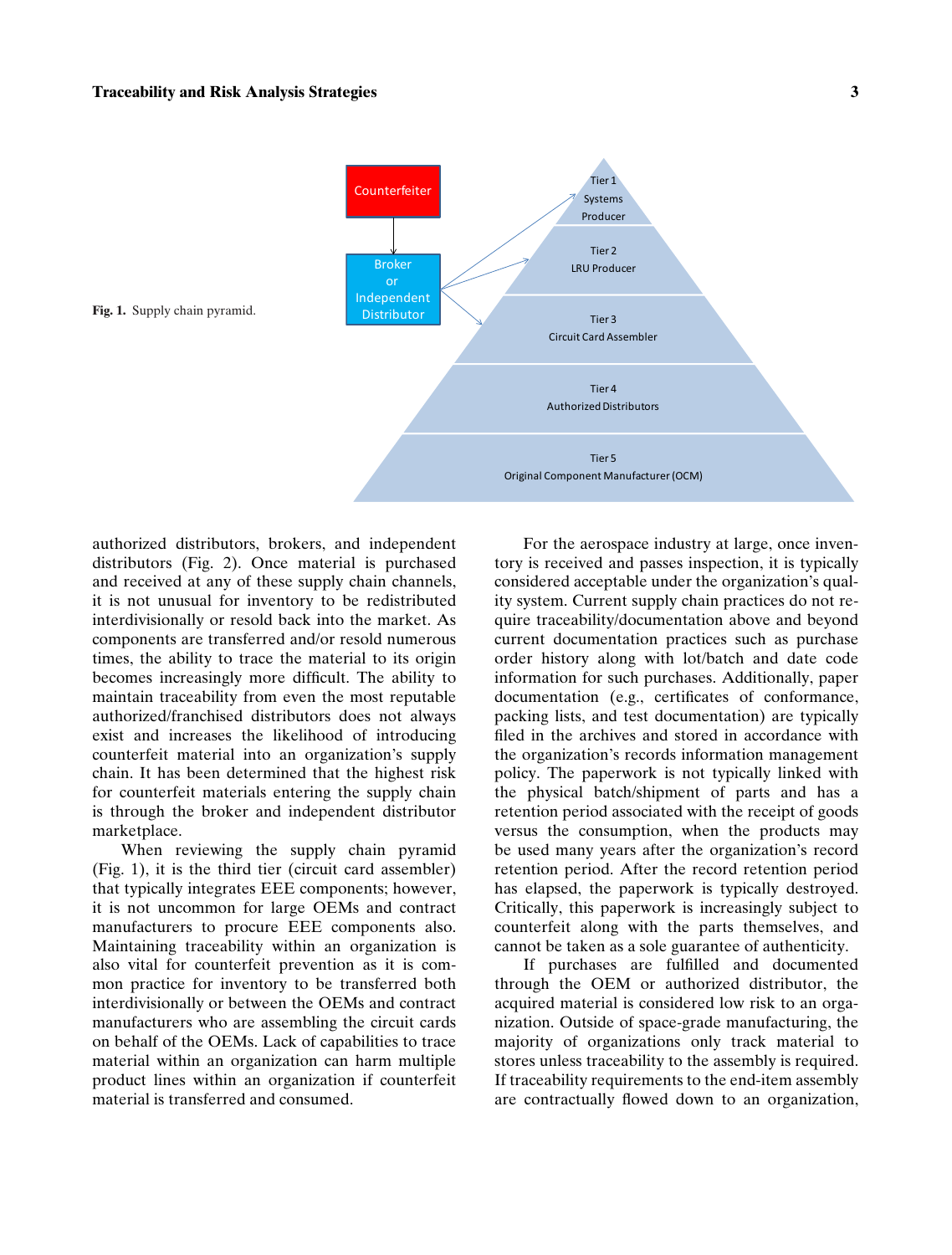

authorized distributors, brokers, and independent distributors (Fig. 2). Once material is purchased and received at any of these supply chain channels, it is not unusual for inventory to be redistributed interdivisionally or resold back into the market. As components are transferred and/or resold numerous times, the ability to trace the material to its origin becomes increasingly more difficult. The ability to maintain traceability from even the most reputable authorized/franchised distributors does not always exist and increases the likelihood of introducing counterfeit material into an organization's supply chain. It has been determined that the highest risk for counterfeit materials entering the supply chain is through the broker and independent distributor marketplace.

When reviewing the supply chain pyramid (Fig. 1), it is the third tier (circuit card assembler) that typically integrates EEE components; however, it is not uncommon for large OEMs and contract manufacturers to procure EEE components also. Maintaining traceability within an organization is also vital for counterfeit prevention as it is common practice for inventory to be transferred both interdivisionally or between the OEMs and contract manufacturers who are assembling the circuit cards on behalf of the OEMs. Lack of capabilities to trace material within an organization can harm multiple product lines within an organization if counterfeit material is transferred and consumed.

For the aerospace industry at large, once inventory is received and passes inspection, it is typically considered acceptable under the organization's quality system. Current supply chain practices do not require traceability/documentation above and beyond current documentation practices such as purchase order history along with lot/batch and date code information for such purchases. Additionally, paper documentation (e.g., certificates of conformance, packing lists, and test documentation) are typically filed in the archives and stored in accordance with the organization's records information management policy. The paperwork is not typically linked with the physical batch/shipment of parts and has a retention period associated with the receipt of goods versus the consumption, when the products may be used many years after the organization's record retention period. After the record retention period has elapsed, the paperwork is typically destroyed. Critically, this paperwork is increasingly subject to counterfeit along with the parts themselves, and cannot be taken as a sole guarantee of authenticity.

If purchases are fulfilled and documented through the OEM or authorized distributor, the acquired material is considered low risk to an organization. Outside of space-grade manufacturing, the majority of organizations only track material to stores unless traceability to the assembly is required. If traceability requirements to the end-item assembly are contractually flowed down to an organization,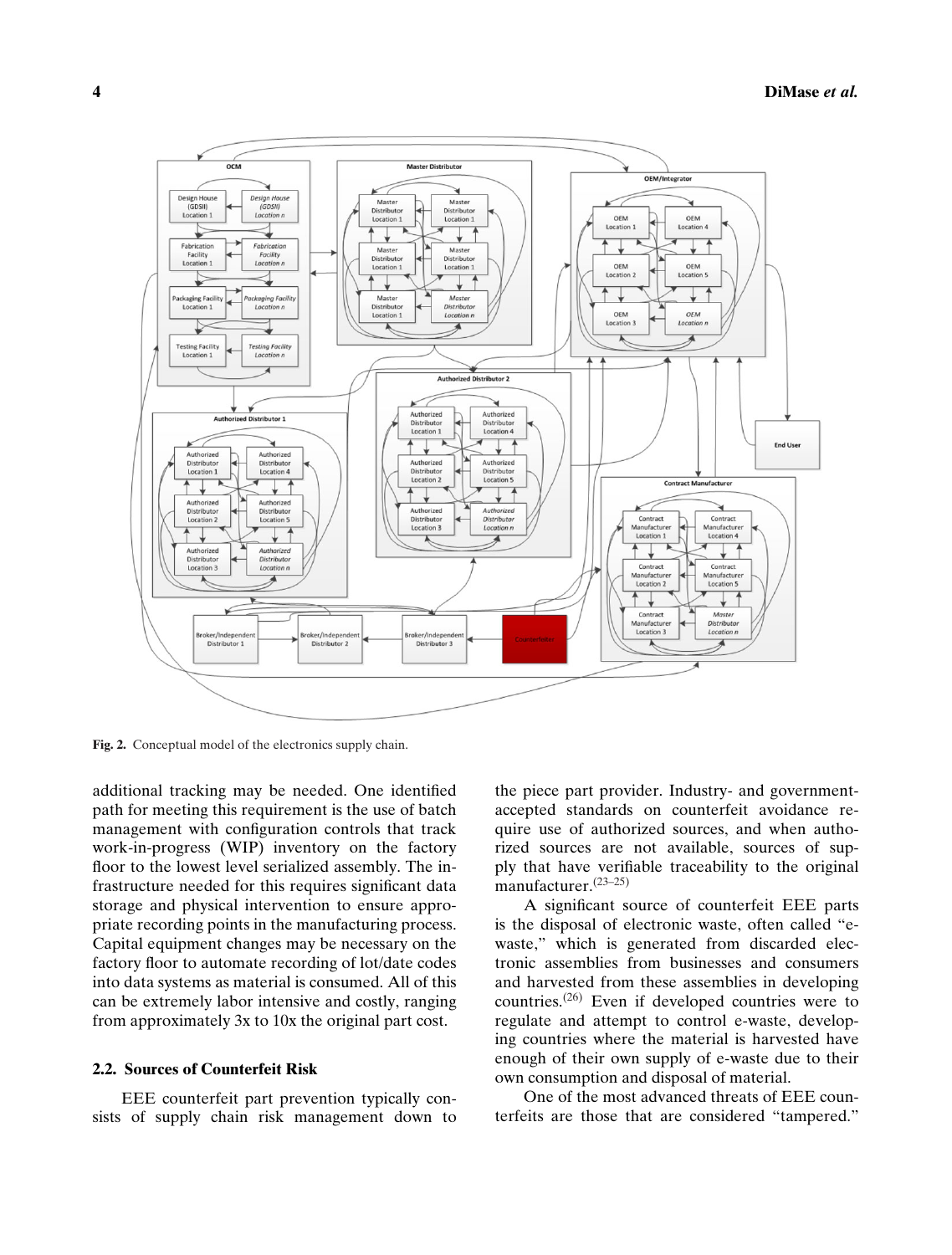

**Fig. 2.** Conceptual model of the electronics supply chain.

additional tracking may be needed. One identified path for meeting this requirement is the use of batch management with configuration controls that track work-in-progress (WIP) inventory on the factory floor to the lowest level serialized assembly. The infrastructure needed for this requires significant data storage and physical intervention to ensure appropriate recording points in the manufacturing process. Capital equipment changes may be necessary on the factory floor to automate recording of lot/date codes into data systems as material is consumed. All of this can be extremely labor intensive and costly, ranging from approximately 3x to 10x the original part cost.

## **2.2. Sources of Counterfeit Risk**

EEE counterfeit part prevention typically consists of supply chain risk management down to

the piece part provider. Industry- and governmentaccepted standards on counterfeit avoidance require use of authorized sources, and when authorized sources are not available, sources of supply that have verifiable traceability to the original manufacturer.<sup>(23–25)</sup>

A significant source of counterfeit EEE parts is the disposal of electronic waste, often called "ewaste," which is generated from discarded electronic assemblies from businesses and consumers and harvested from these assemblies in developing countries.<sup> $(26)$ </sup> Even if developed countries were to regulate and attempt to control e-waste, developing countries where the material is harvested have enough of their own supply of e-waste due to their own consumption and disposal of material.

One of the most advanced threats of EEE counterfeits are those that are considered "tampered."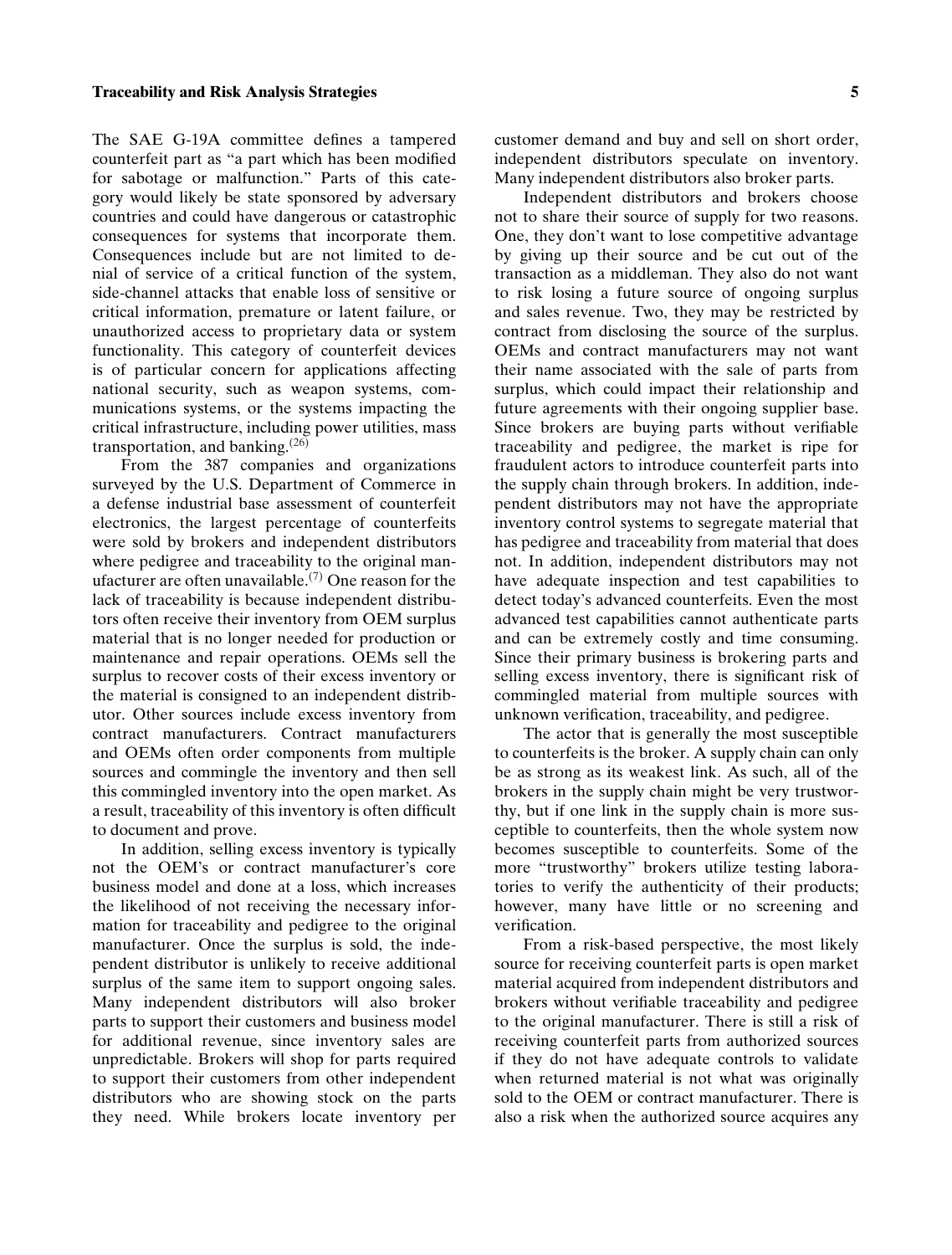### **Traceability and Risk Analysis Strategies 5**

The SAE G-19A committee defines a tampered counterfeit part as "a part which has been modified for sabotage or malfunction." Parts of this category would likely be state sponsored by adversary countries and could have dangerous or catastrophic consequences for systems that incorporate them. Consequences include but are not limited to denial of service of a critical function of the system, side-channel attacks that enable loss of sensitive or critical information, premature or latent failure, or unauthorized access to proprietary data or system functionality. This category of counterfeit devices is of particular concern for applications affecting national security, such as weapon systems, communications systems, or the systems impacting the critical infrastructure, including power utilities, mass transportation, and banking. $(26)$ 

From the 387 companies and organizations surveyed by the U.S. Department of Commerce in a defense industrial base assessment of counterfeit electronics, the largest percentage of counterfeits were sold by brokers and independent distributors where pedigree and traceability to the original manufacturer are often unavailable.<sup>(7)</sup> One reason for the lack of traceability is because independent distributors often receive their inventory from OEM surplus material that is no longer needed for production or maintenance and repair operations. OEMs sell the surplus to recover costs of their excess inventory or the material is consigned to an independent distributor. Other sources include excess inventory from contract manufacturers. Contract manufacturers and OEMs often order components from multiple sources and commingle the inventory and then sell this commingled inventory into the open market. As a result, traceability of this inventory is often difficult to document and prove.

In addition, selling excess inventory is typically not the OEM's or contract manufacturer's core business model and done at a loss, which increases the likelihood of not receiving the necessary information for traceability and pedigree to the original manufacturer. Once the surplus is sold, the independent distributor is unlikely to receive additional surplus of the same item to support ongoing sales. Many independent distributors will also broker parts to support their customers and business model for additional revenue, since inventory sales are unpredictable. Brokers will shop for parts required to support their customers from other independent distributors who are showing stock on the parts they need. While brokers locate inventory per

customer demand and buy and sell on short order, independent distributors speculate on inventory. Many independent distributors also broker parts.

Independent distributors and brokers choose not to share their source of supply for two reasons. One, they don't want to lose competitive advantage by giving up their source and be cut out of the transaction as a middleman. They also do not want to risk losing a future source of ongoing surplus and sales revenue. Two, they may be restricted by contract from disclosing the source of the surplus. OEMs and contract manufacturers may not want their name associated with the sale of parts from surplus, which could impact their relationship and future agreements with their ongoing supplier base. Since brokers are buying parts without verifiable traceability and pedigree, the market is ripe for fraudulent actors to introduce counterfeit parts into the supply chain through brokers. In addition, independent distributors may not have the appropriate inventory control systems to segregate material that has pedigree and traceability from material that does not. In addition, independent distributors may not have adequate inspection and test capabilities to detect today's advanced counterfeits. Even the most advanced test capabilities cannot authenticate parts and can be extremely costly and time consuming. Since their primary business is brokering parts and selling excess inventory, there is significant risk of commingled material from multiple sources with unknown verification, traceability, and pedigree.

The actor that is generally the most susceptible to counterfeits is the broker. A supply chain can only be as strong as its weakest link. As such, all of the brokers in the supply chain might be very trustworthy, but if one link in the supply chain is more susceptible to counterfeits, then the whole system now becomes susceptible to counterfeits. Some of the more "trustworthy" brokers utilize testing laboratories to verify the authenticity of their products; however, many have little or no screening and verification.

From a risk-based perspective, the most likely source for receiving counterfeit parts is open market material acquired from independent distributors and brokers without verifiable traceability and pedigree to the original manufacturer. There is still a risk of receiving counterfeit parts from authorized sources if they do not have adequate controls to validate when returned material is not what was originally sold to the OEM or contract manufacturer. There is also a risk when the authorized source acquires any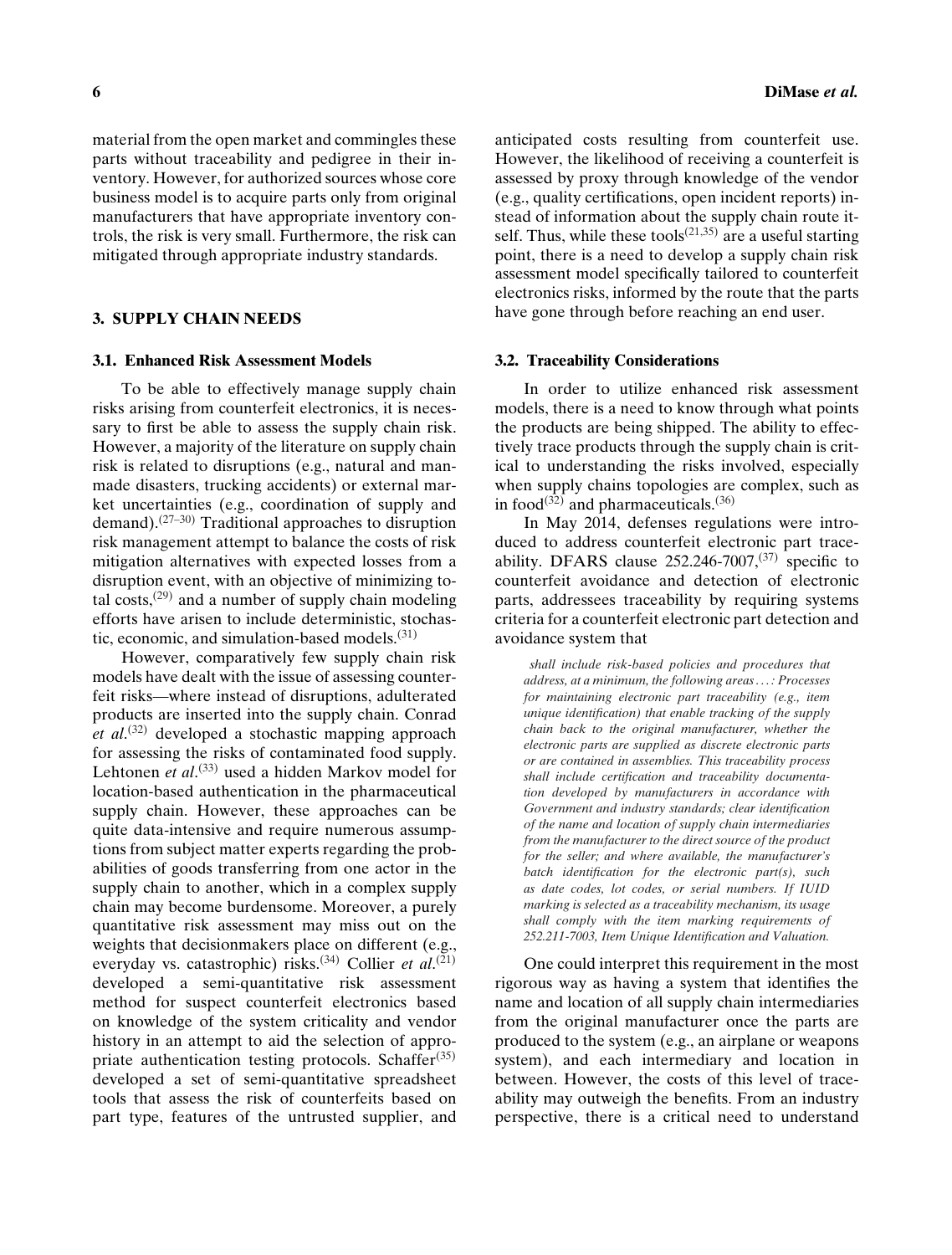material from the open market and commingles these parts without traceability and pedigree in their inventory. However, for authorized sources whose core business model is to acquire parts only from original manufacturers that have appropriate inventory controls, the risk is very small. Furthermore, the risk can mitigated through appropriate industry standards.

## **3. SUPPLY CHAIN NEEDS**

#### **3.1. Enhanced Risk Assessment Models**

To be able to effectively manage supply chain risks arising from counterfeit electronics, it is necessary to first be able to assess the supply chain risk. However, a majority of the literature on supply chain risk is related to disruptions (e.g., natural and manmade disasters, trucking accidents) or external market uncertainties (e.g., coordination of supply and demand).<sup> $(27-30)$ </sup> Traditional approaches to disruption risk management attempt to balance the costs of risk mitigation alternatives with expected losses from a disruption event, with an objective of minimizing total  $costs$ , $(29)$  and a number of supply chain modeling efforts have arisen to include deterministic, stochastic, economic, and simulation-based models.(31)

However, comparatively few supply chain risk models have dealt with the issue of assessing counterfeit risks—where instead of disruptions, adulterated products are inserted into the supply chain. Conrad *et al*. (32) developed a stochastic mapping approach for assessing the risks of contaminated food supply. Lehtonen *et al.*<sup>(33)</sup> used a hidden Markov model for location-based authentication in the pharmaceutical supply chain. However, these approaches can be quite data-intensive and require numerous assumptions from subject matter experts regarding the probabilities of goods transferring from one actor in the supply chain to another, which in a complex supply chain may become burdensome. Moreover, a purely quantitative risk assessment may miss out on the weights that decisionmakers place on different (e.g., everyday vs. catastrophic) risks.<sup>(34)</sup> Collier *et al*.<sup>(21)</sup> developed a semi-quantitative risk assessment method for suspect counterfeit electronics based on knowledge of the system criticality and vendor history in an attempt to aid the selection of appropriate authentication testing protocols. Schaffer $(35)$ developed a set of semi-quantitative spreadsheet tools that assess the risk of counterfeits based on part type, features of the untrusted supplier, and

anticipated costs resulting from counterfeit use. However, the likelihood of receiving a counterfeit is assessed by proxy through knowledge of the vendor (e.g., quality certifications, open incident reports) instead of information about the supply chain route itself. Thus, while these tools<sup> $(21,35)$ </sup> are a useful starting point, there is a need to develop a supply chain risk assessment model specifically tailored to counterfeit electronics risks, informed by the route that the parts have gone through before reaching an end user.

#### **3.2. Traceability Considerations**

In order to utilize enhanced risk assessment models, there is a need to know through what points the products are being shipped. The ability to effectively trace products through the supply chain is critical to understanding the risks involved, especially when supply chains topologies are complex, such as in food<sup>(32)</sup> and pharmaceuticals.<sup>(36)</sup>

In May 2014, defenses regulations were introduced to address counterfeit electronic part traceability. DFARS clause  $252.246-7007$ ,<sup> $(37)$ </sup> specific to counterfeit avoidance and detection of electronic parts, addressees traceability by requiring systems criteria for a counterfeit electronic part detection and avoidance system that

*shall include risk-based policies and procedures that address, at a minimum, the following areas . . . : Processes for maintaining electronic part traceability (e.g., item unique identification) that enable tracking of the supply chain back to the original manufacturer, whether the electronic parts are supplied as discrete electronic parts or are contained in assemblies. This traceability process shall include certification and traceability documentation developed by manufacturers in accordance with Government and industry standards; clear identification of the name and location of supply chain intermediaries from the manufacturer to the direct source of the product for the seller; and where available, the manufacturer's batch identification for the electronic part(s), such as date codes, lot codes, or serial numbers. If IUID marking is selected as a traceability mechanism, its usage shall comply with the item marking requirements of 252.211-7003, Item Unique Identification and Valuation.*

One could interpret this requirement in the most rigorous way as having a system that identifies the name and location of all supply chain intermediaries from the original manufacturer once the parts are produced to the system (e.g., an airplane or weapons system), and each intermediary and location in between. However, the costs of this level of traceability may outweigh the benefits. From an industry perspective, there is a critical need to understand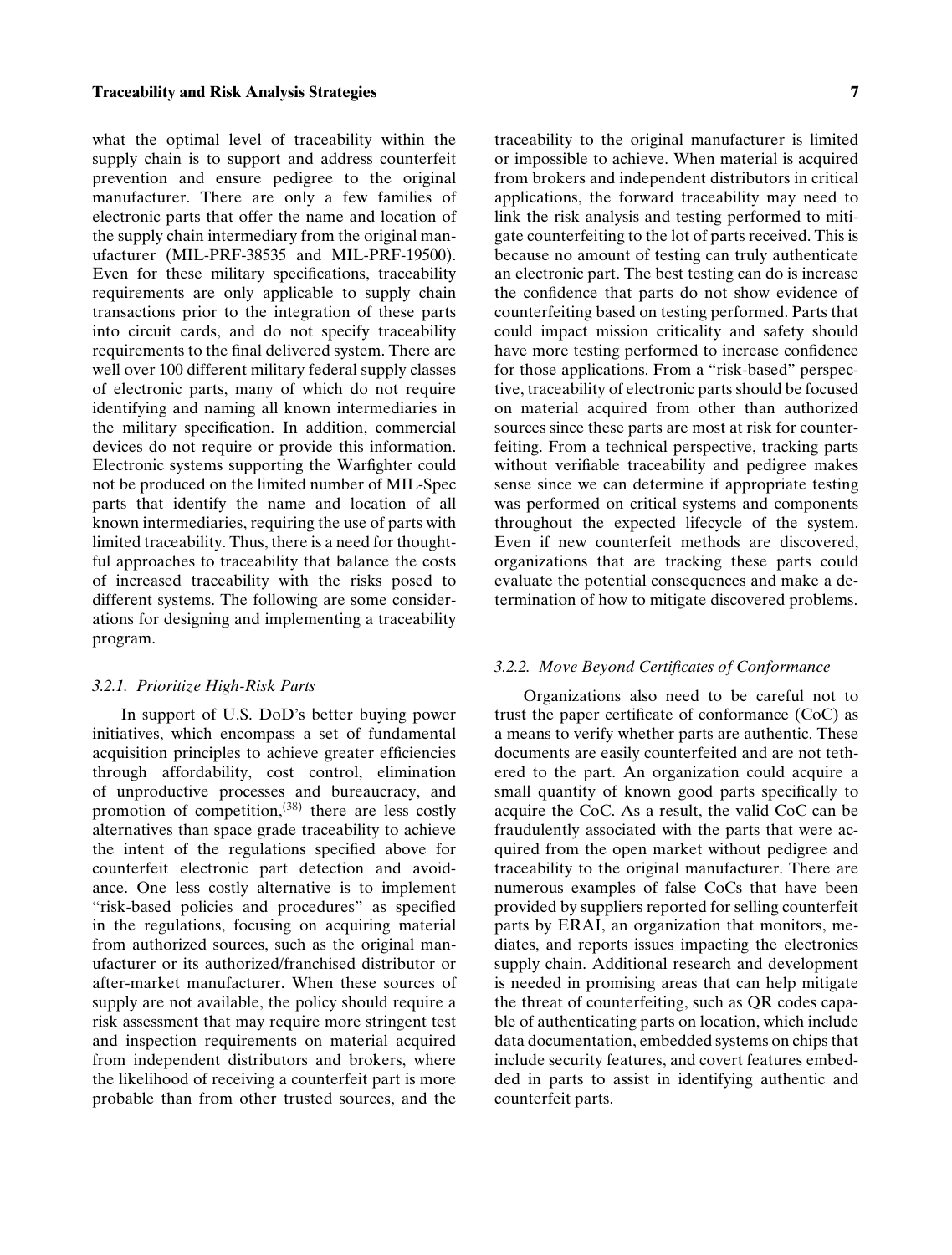## **Traceability and Risk Analysis Strategies 7**

what the optimal level of traceability within the supply chain is to support and address counterfeit prevention and ensure pedigree to the original manufacturer. There are only a few families of electronic parts that offer the name and location of the supply chain intermediary from the original manufacturer (MIL-PRF-38535 and MIL-PRF-19500). Even for these military specifications, traceability requirements are only applicable to supply chain transactions prior to the integration of these parts into circuit cards, and do not specify traceability requirements to the final delivered system. There are well over 100 different military federal supply classes of electronic parts, many of which do not require identifying and naming all known intermediaries in the military specification. In addition, commercial devices do not require or provide this information. Electronic systems supporting the Warfighter could not be produced on the limited number of MIL-Spec parts that identify the name and location of all known intermediaries, requiring the use of parts with limited traceability. Thus, there is a need for thoughtful approaches to traceability that balance the costs of increased traceability with the risks posed to different systems. The following are some considerations for designing and implementing a traceability program.

#### *3.2.1. Prioritize High-Risk Parts*

In support of U.S. DoD's better buying power initiatives, which encompass a set of fundamental acquisition principles to achieve greater efficiencies through affordability, cost control, elimination of unproductive processes and bureaucracy, and promotion of competition, $(38)$  there are less costly alternatives than space grade traceability to achieve the intent of the regulations specified above for counterfeit electronic part detection and avoidance. One less costly alternative is to implement "risk-based policies and procedures" as specified in the regulations, focusing on acquiring material from authorized sources, such as the original manufacturer or its authorized/franchised distributor or after-market manufacturer. When these sources of supply are not available, the policy should require a risk assessment that may require more stringent test and inspection requirements on material acquired from independent distributors and brokers, where the likelihood of receiving a counterfeit part is more probable than from other trusted sources, and the

traceability to the original manufacturer is limited or impossible to achieve. When material is acquired from brokers and independent distributors in critical applications, the forward traceability may need to link the risk analysis and testing performed to mitigate counterfeiting to the lot of parts received. This is because no amount of testing can truly authenticate an electronic part. The best testing can do is increase the confidence that parts do not show evidence of counterfeiting based on testing performed. Parts that could impact mission criticality and safety should have more testing performed to increase confidence for those applications. From a "risk-based" perspective, traceability of electronic parts should be focused on material acquired from other than authorized sources since these parts are most at risk for counterfeiting. From a technical perspective, tracking parts without verifiable traceability and pedigree makes sense since we can determine if appropriate testing was performed on critical systems and components throughout the expected lifecycle of the system. Even if new counterfeit methods are discovered, organizations that are tracking these parts could evaluate the potential consequences and make a determination of how to mitigate discovered problems.

## *3.2.2. Move Beyond Certificates of Conformance*

Organizations also need to be careful not to trust the paper certificate of conformance (CoC) as a means to verify whether parts are authentic. These documents are easily counterfeited and are not tethered to the part. An organization could acquire a small quantity of known good parts specifically to acquire the CoC. As a result, the valid CoC can be fraudulently associated with the parts that were acquired from the open market without pedigree and traceability to the original manufacturer. There are numerous examples of false CoCs that have been provided by suppliers reported for selling counterfeit parts by ERAI, an organization that monitors, mediates, and reports issues impacting the electronics supply chain. Additional research and development is needed in promising areas that can help mitigate the threat of counterfeiting, such as QR codes capable of authenticating parts on location, which include data documentation, embedded systems on chips that include security features, and covert features embedded in parts to assist in identifying authentic and counterfeit parts.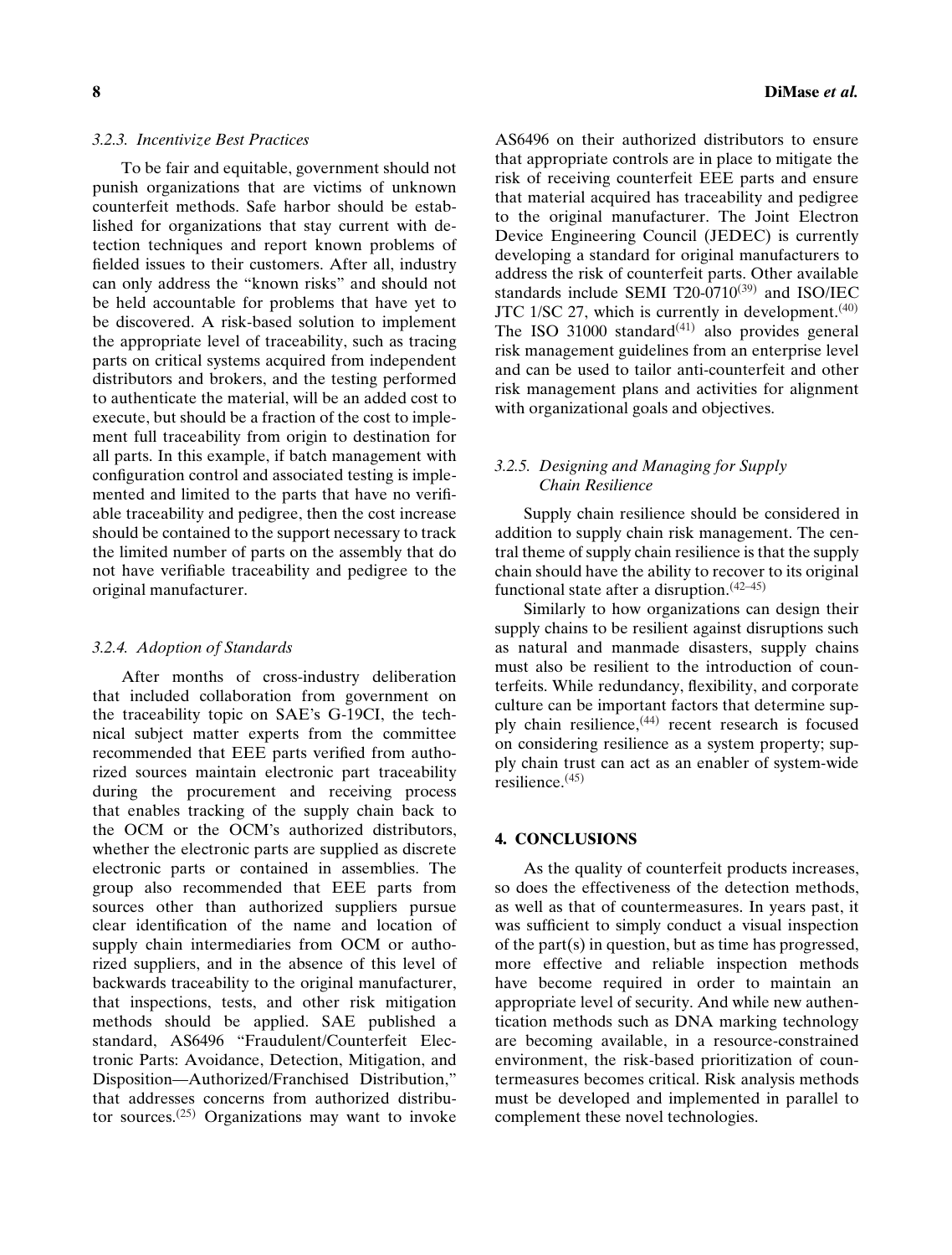#### *3.2.3. Incentivize Best Practices*

To be fair and equitable, government should not punish organizations that are victims of unknown counterfeit methods. Safe harbor should be established for organizations that stay current with detection techniques and report known problems of fielded issues to their customers. After all, industry can only address the "known risks" and should not be held accountable for problems that have yet to be discovered. A risk-based solution to implement the appropriate level of traceability, such as tracing parts on critical systems acquired from independent distributors and brokers, and the testing performed to authenticate the material, will be an added cost to execute, but should be a fraction of the cost to implement full traceability from origin to destination for all parts. In this example, if batch management with configuration control and associated testing is implemented and limited to the parts that have no verifiable traceability and pedigree, then the cost increase should be contained to the support necessary to track the limited number of parts on the assembly that do not have verifiable traceability and pedigree to the original manufacturer.

#### *3.2.4. Adoption of Standards*

After months of cross-industry deliberation that included collaboration from government on the traceability topic on SAE's G-19CI, the technical subject matter experts from the committee recommended that EEE parts verified from authorized sources maintain electronic part traceability during the procurement and receiving process that enables tracking of the supply chain back to the OCM or the OCM's authorized distributors, whether the electronic parts are supplied as discrete electronic parts or contained in assemblies. The group also recommended that EEE parts from sources other than authorized suppliers pursue clear identification of the name and location of supply chain intermediaries from OCM or authorized suppliers, and in the absence of this level of backwards traceability to the original manufacturer, that inspections, tests, and other risk mitigation methods should be applied. SAE published a standard, AS6496 "Fraudulent/Counterfeit Electronic Parts: Avoidance, Detection, Mitigation, and Disposition—Authorized/Franchised Distribution," that addresses concerns from authorized distributor sources. $(25)$  Organizations may want to invoke

AS6496 on their authorized distributors to ensure that appropriate controls are in place to mitigate the risk of receiving counterfeit EEE parts and ensure that material acquired has traceability and pedigree to the original manufacturer. The Joint Electron Device Engineering Council (JEDEC) is currently developing a standard for original manufacturers to address the risk of counterfeit parts. Other available standards include SEMI T20-0710 $^{(39)}$  and ISO/IEC JTC 1/SC 27, which is currently in development.<sup> $(40)$ </sup> The ISO 31000 standard $(41)$  also provides general risk management guidelines from an enterprise level and can be used to tailor anti-counterfeit and other risk management plans and activities for alignment with organizational goals and objectives.

## *3.2.5. Designing and Managing for Supply Chain Resilience*

Supply chain resilience should be considered in addition to supply chain risk management. The central theme of supply chain resilience is that the supply chain should have the ability to recover to its original functional state after a disruption.  $(42-45)$ 

Similarly to how organizations can design their supply chains to be resilient against disruptions such as natural and manmade disasters, supply chains must also be resilient to the introduction of counterfeits. While redundancy, flexibility, and corporate culture can be important factors that determine supply chain resilience,<sup>(44)</sup> recent research is focused on considering resilience as a system property; supply chain trust can act as an enabler of system-wide  $resilience.$ <sup>(45)</sup>

## **4. CONCLUSIONS**

As the quality of counterfeit products increases, so does the effectiveness of the detection methods, as well as that of countermeasures. In years past, it was sufficient to simply conduct a visual inspection of the part(s) in question, but as time has progressed, more effective and reliable inspection methods have become required in order to maintain an appropriate level of security. And while new authentication methods such as DNA marking technology are becoming available, in a resource-constrained environment, the risk-based prioritization of countermeasures becomes critical. Risk analysis methods must be developed and implemented in parallel to complement these novel technologies.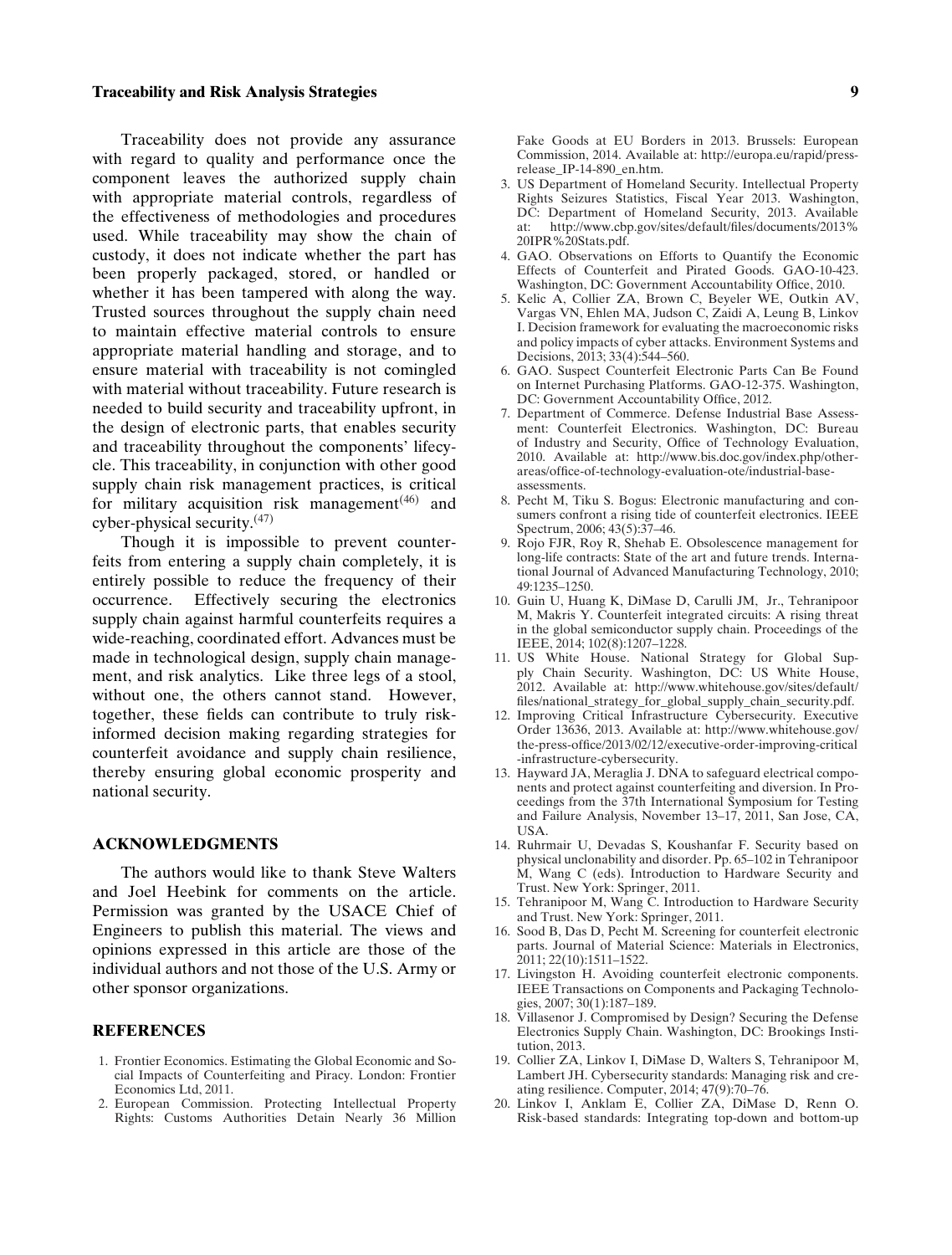#### **Traceability and Risk Analysis Strategies 9**

Traceability does not provide any assurance with regard to quality and performance once the component leaves the authorized supply chain with appropriate material controls, regardless of the effectiveness of methodologies and procedures used. While traceability may show the chain of custody, it does not indicate whether the part has been properly packaged, stored, or handled or whether it has been tampered with along the way. Trusted sources throughout the supply chain need to maintain effective material controls to ensure appropriate material handling and storage, and to ensure material with traceability is not comingled with material without traceability. Future research is needed to build security and traceability upfront, in the design of electronic parts, that enables security and traceability throughout the components' lifecycle. This traceability, in conjunction with other good supply chain risk management practices, is critical for military acquisition risk management $(46)$  and cyber-physical security.(47)

Though it is impossible to prevent counterfeits from entering a supply chain completely, it is entirely possible to reduce the frequency of their occurrence. Effectively securing the electronics supply chain against harmful counterfeits requires a wide-reaching, coordinated effort. Advances must be made in technological design, supply chain management, and risk analytics. Like three legs of a stool, without one, the others cannot stand. However, together, these fields can contribute to truly riskinformed decision making regarding strategies for counterfeit avoidance and supply chain resilience, thereby ensuring global economic prosperity and national security.

#### **ACKNOWLEDGMENTS**

The authors would like to thank Steve Walters and Joel Heebink for comments on the article. Permission was granted by the USACE Chief of Engineers to publish this material. The views and opinions expressed in this article are those of the individual authors and not those of the U.S. Army or other sponsor organizations.

## **REFERENCES**

- 1. Frontier Economics. Estimating the Global Economic and Social Impacts of Counterfeiting and Piracy. London: Frontier Economics Ltd, 2011.
- 2. European Commission. Protecting Intellectual Property Rights: Customs Authorities Detain Nearly 36 Million

Fake Goods at EU Borders in 2013. Brussels: European Commission, 2014. Available at: http://europa.eu/rapid/pressrelease\_IP-14-890\_en.htm.

- 3. US Department of Homeland Security. Intellectual Property Rights Seizures Statistics, Fiscal Year 2013. Washington, DC: Department of Homeland Security, 2013. Available at: http://www.cbp.gov/sites/default/files/documents/2013% 20IPR%20Stats.pdf.
- 4. GAO. Observations on Efforts to Quantify the Economic Effects of Counterfeit and Pirated Goods. GAO-10-423. Washington, DC: Government Accountability Office, 2010.
- 5. Kelic A, Collier ZA, Brown C, Beyeler WE, Outkin AV, Vargas VN, Ehlen MA, Judson C, Zaidi A, Leung B, Linkov I. Decision framework for evaluating the macroeconomic risks and policy impacts of cyber attacks. Environment Systems and Decisions, 2013; 33(4):544–560.
- 6. GAO. Suspect Counterfeit Electronic Parts Can Be Found on Internet Purchasing Platforms. GAO-12-375. Washington, DC: Government Accountability Office, 2012.
- 7. Department of Commerce. Defense Industrial Base Assessment: Counterfeit Electronics. Washington, DC: Bureau of Industry and Security, Office of Technology Evaluation, 2010. Available at: http://www.bis.doc.gov/index.php/otherareas/office-of-technology-evaluation-ote/industrial-baseassessments.
- 8. Pecht M, Tiku S. Bogus: Electronic manufacturing and consumers confront a rising tide of counterfeit electronics. IEEE Spectrum, 2006; 43(5):37–46.
- 9. Rojo FJR, Roy R, Shehab E. Obsolescence management for long-life contracts: State of the art and future trends. International Journal of Advanced Manufacturing Technology, 2010; 49:1235–1250.
- 10. Guin U, Huang K, DiMase D, Carulli JM, Jr., Tehranipoor M, Makris Y. Counterfeit integrated circuits: A rising threat in the global semiconductor supply chain. Proceedings of the IEEE, 2014; 102(8):1207–1228.
- 11. US White House. National Strategy for Global Supply Chain Security. Washington, DC: US White House, 2012. Available at: http://www.whitehouse.gov/sites/default/ files/national\_strategy\_for\_global\_supply\_chain\_security.pdf.
- 12. Improving Critical Infrastructure Cybersecurity. Executive Order 13636, 2013. Available at: http://www.whitehouse.gov/ the-press-office/2013/02/12/executive-order-improving-critical -infrastructure-cybersecurity.
- 13. Hayward JA, Meraglia J. DNA to safeguard electrical components and protect against counterfeiting and diversion. In Proceedings from the 37th International Symposium for Testing and Failure Analysis, November 13–17, 2011, San Jose, CA, USA.
- 14. Ruhrmair U, Devadas S, Koushanfar F. Security based on physical unclonability and disorder. Pp. 65–102 in Tehranipoor M, Wang C (eds). Introduction to Hardware Security and Trust. New York: Springer, 2011.
- 15. Tehranipoor M, Wang C. Introduction to Hardware Security and Trust. New York: Springer, 2011.
- 16. Sood B, Das D, Pecht M. Screening for counterfeit electronic parts. Journal of Material Science: Materials in Electronics, 2011; 22(10):1511–1522.
- 17. Livingston H. Avoiding counterfeit electronic components. IEEE Transactions on Components and Packaging Technologies, 2007; 30(1):187–189.
- 18. Villasenor J. Compromised by Design? Securing the Defense Electronics Supply Chain. Washington, DC: Brookings Institution, 2013.
- 19. Collier ZA, Linkov I, DiMase D, Walters S, Tehranipoor M, Lambert JH. Cybersecurity standards: Managing risk and creating resilience. Computer, 2014; 47(9):70–76.
- 20. Linkov I, Anklam E, Collier ZA, DiMase D, Renn O. Risk-based standards: Integrating top-down and bottom-up